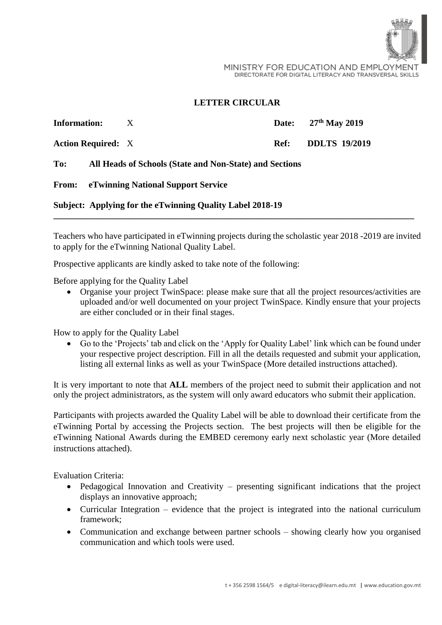

MINISTRY FOR EDUCATION AND EMPLOYMENT DIRECTORATE FOR DIGITAL LITERACY AND TRANSVERSAL SKILLS

## **LETTER CIRCULAR**

| <b>Information:</b>                                     | X |                                                                              | Date: $27th$ May 2019                                            |
|---------------------------------------------------------|---|------------------------------------------------------------------------------|------------------------------------------------------------------|
|                                                         |   | Ref:                                                                         | <b>DDLTS</b> 19/2019                                             |
| All Heads of Schools (State and Non-State) and Sections |   |                                                                              |                                                                  |
|                                                         |   |                                                                              |                                                                  |
|                                                         |   |                                                                              |                                                                  |
|                                                         |   | <b>Action Required:</b> X<br><b>From:</b> eTwinning National Support Service | <b>Subject: Applying for the eTwinning Quality Label 2018-19</b> |

Teachers who have participated in eTwinning projects during the scholastic year 2018 -2019 are invited to apply for the eTwinning National Quality Label.

Prospective applicants are kindly asked to take note of the following:

Before applying for the Quality Label

• Organise your project TwinSpace: please make sure that all the project resources/activities are uploaded and/or well documented on your project TwinSpace. Kindly ensure that your projects are either concluded or in their final stages.

How to apply for the Quality Label

• Go to the 'Projects' tab and click on the 'Apply for Quality Label' link which can be found under your respective project description. Fill in all the details requested and submit your application, listing all external links as well as your TwinSpace (More detailed instructions attached).

It is very important to note that **ALL** members of the project need to submit their application and not only the project administrators, as the system will only award educators who submit their application.

Participants with projects awarded the Quality Label will be able to download their certificate from the eTwinning Portal by accessing the Projects section. The best projects will then be eligible for the eTwinning National Awards during the EMBED ceremony early next scholastic year (More detailed instructions attached).

Evaluation Criteria:

- Pedagogical Innovation and Creativity presenting significant indications that the project displays an innovative approach;
- Curricular Integration evidence that the project is integrated into the national curriculum framework;
- Communication and exchange between partner schools showing clearly how you organised communication and which tools were used.